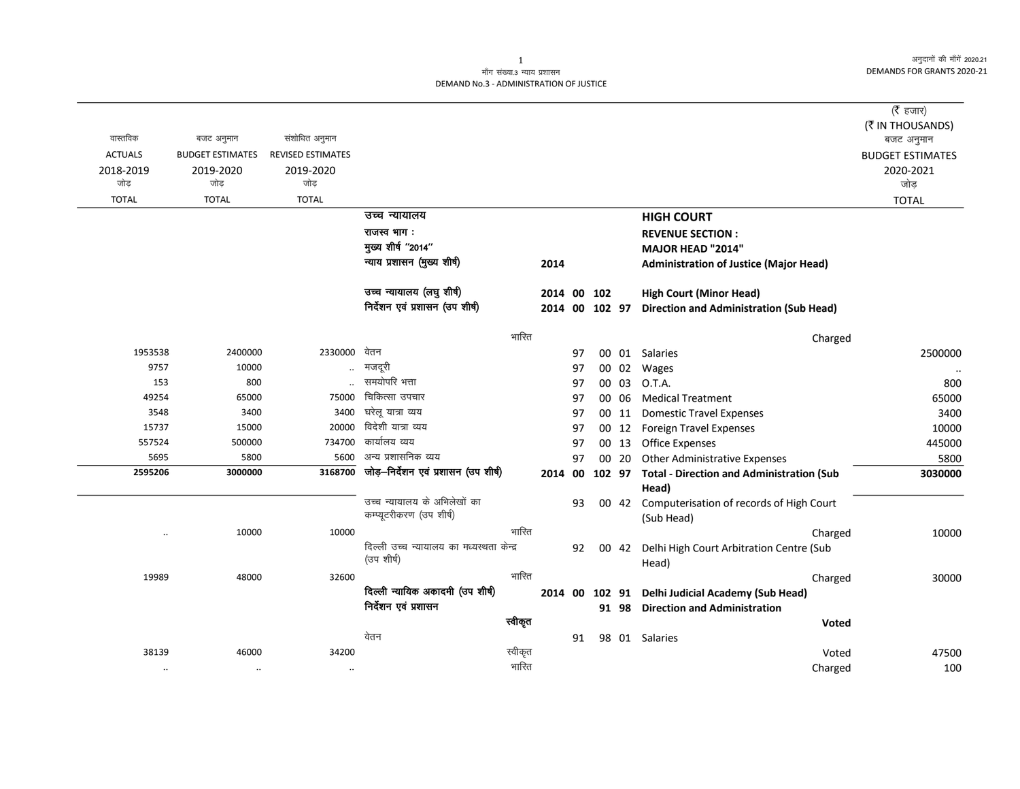अनुदानों की माँगें 2020.21 DEMANDS FOR GRANTS 2020-21

## माँग संख्या.3 न्याय प्रशासन DEMAND No.3 - ADMINISTRATION OF JUSTICE

|                  |                         |                          |                                           |                |    |  |       |                                                                   | ( $\bar{\tau}$ हजार)    |  |
|------------------|-------------------------|--------------------------|-------------------------------------------|----------------|----|--|-------|-------------------------------------------------------------------|-------------------------|--|
|                  |                         |                          |                                           |                |    |  |       |                                                                   | (₹ IN THOUSANDS)        |  |
| वास्तविक         | बजट अनुमान              | संशोधित अनुमान           |                                           |                |    |  |       |                                                                   | बजट अनुमान              |  |
| <b>ACTUALS</b>   | <b>BUDGET ESTIMATES</b> | <b>REVISED ESTIMATES</b> |                                           |                |    |  |       |                                                                   | <b>BUDGET ESTIMATES</b> |  |
| 2018-2019        | 2019-2020               | 2019-2020                |                                           |                |    |  |       |                                                                   | 2020-2021               |  |
| जोड              | जोड                     | जोड                      |                                           |                |    |  |       |                                                                   | जोड़                    |  |
| <b>TOTAL</b>     | <b>TOTAL</b>            | <b>TOTAL</b>             |                                           |                |    |  |       |                                                                   | <b>TOTAL</b>            |  |
|                  |                         |                          | उच्च न्यायालय                             |                |    |  |       | <b>HIGH COURT</b>                                                 |                         |  |
|                  |                         |                          | राजस्व भाग:                               |                |    |  |       | <b>REVENUE SECTION:</b>                                           |                         |  |
|                  |                         |                          | मुख्य शीर्ष "2014"                        |                |    |  |       | MAJOR HEAD "2014"                                                 |                         |  |
|                  |                         |                          | न्याय प्रशासन (मुख्य शीर्ष)               | 2014           |    |  |       | <b>Administration of Justice (Major Head)</b>                     |                         |  |
|                  |                         |                          | उच्च न्यायालय (लघु शीर्ष)                 | 2014 00 102    |    |  |       | <b>High Court (Minor Head)</b>                                    |                         |  |
|                  |                         |                          | निर्देशन एवं प्रशासन (उप शीर्ष)           | 2014 00 102 97 |    |  |       | <b>Direction and Administration (Sub Head)</b>                    |                         |  |
| भारित<br>Charged |                         |                          |                                           |                |    |  |       |                                                                   |                         |  |
| 1953538          | 2400000                 | 2330000                  | वेतन                                      |                | 97 |  |       | 00 01 Salaries                                                    | 2500000                 |  |
| 9757             | 10000                   |                          | मजदूरी                                    |                | 97 |  | 00 02 | Wages                                                             |                         |  |
| 153              | 800                     |                          | समयोपरि भत्ता                             |                | 97 |  | 00 03 | O.T.A.                                                            | 800                     |  |
| 49254            | 65000                   | 75000                    | चिकित्सा उपचार                            |                | 97 |  | 00 06 | <b>Medical Treatment</b>                                          | 65000                   |  |
| 3548             | 3400                    | 3400                     | घरेलू यात्रा व्यय                         |                | 97 |  | 00 11 | <b>Domestic Travel Expenses</b>                                   | 3400                    |  |
| 15737            | 15000                   | 20000                    | विदेशी यात्रा व्यय                        |                | 97 |  | 00 12 | <b>Foreign Travel Expenses</b>                                    | 10000                   |  |
| 557524           | 500000                  | 734700                   | कार्यालय व्यय                             |                | 97 |  | 00 13 | <b>Office Expenses</b>                                            | 445000                  |  |
| 5695             | 5800                    | 5600                     | अन्य प्रशासनिक व्यय                       |                | 97 |  | 00 20 | <b>Other Administrative Expenses</b>                              | 5800                    |  |
| 2595206          | 3000000                 | 3168700                  | जोड़-निर्देशन एवं प्रशासन (उप शीर्ष)      |                |    |  |       | 2014 00 102 97 Total - Direction and Administration (Sub<br>Head) | 3030000                 |  |
|                  |                         |                          | उच्च न्यायालय के अभिलेखों का              |                | 93 |  |       | 00 42 Computerisation of records of High Court                    |                         |  |
|                  |                         |                          | कम्प्यूटरीकरण (उप शीर्ष)                  |                |    |  |       | (Sub Head)                                                        |                         |  |
| $\ddotsc$        | 10000                   | 10000                    | भारित                                     |                |    |  |       | Charged                                                           | 10000                   |  |
|                  |                         |                          | दिल्ली उच्च न्यायालय का मध्यस्थता केन्द्र |                | 92 |  | 00 42 | Delhi High Court Arbitration Centre (Sub                          |                         |  |
|                  |                         |                          | (उप शीर्ष)                                |                |    |  |       | Head)                                                             |                         |  |
| 19989            | 48000                   | 32600                    | भारित                                     |                |    |  |       | Charged                                                           | 30000                   |  |
|                  |                         |                          | दिल्ली न्यायिक अकादमी (उप शीर्ष)          | 2014 00 102 91 |    |  |       | Delhi Judicial Academy (Sub Head)                                 |                         |  |
|                  |                         |                          | निर्देशन एवं प्रशासन                      |                |    |  | 91 98 | <b>Direction and Administration</b>                               |                         |  |
|                  |                         |                          | स्वीकृत                                   |                |    |  |       | Voted                                                             |                         |  |
|                  |                         |                          | वेतन                                      |                | 91 |  |       | 98 01 Salaries                                                    |                         |  |
| 38139            | 46000                   | 34200                    | स्वीकृत                                   |                |    |  |       | Voted                                                             | 47500                   |  |
| $\cdot\cdot$     | $\ddotsc$               | $\cdot\cdot$             | भारित                                     |                |    |  |       | Charged                                                           | 100                     |  |

 $\mathbf{1}$